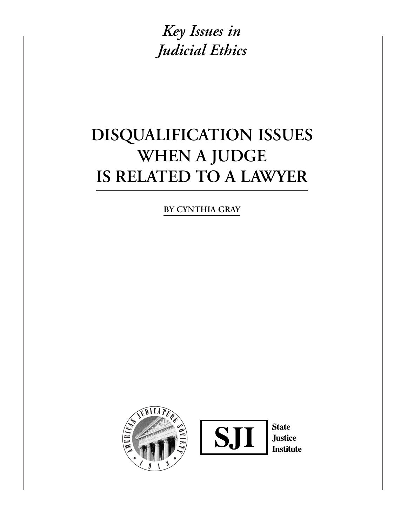*Key Issues in Judicial Ethics*

# **DISQUALIFICATION ISSUES WHEN A JUDGE IS RELATED TO A LAWYER**

**BY CYNTHIA GRAY**

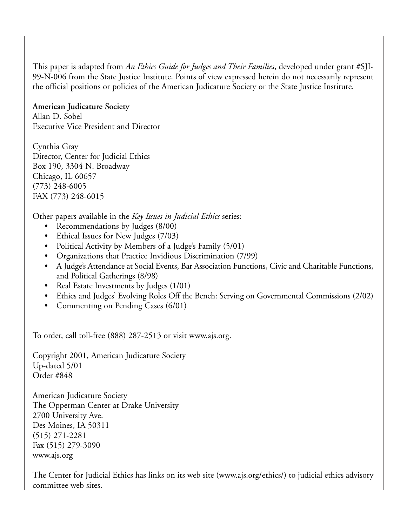This paper is adapted from *An Ethics Guide for Judges and Their Families*, developed under grant #SJI-99-N-006 from the State Justice Institute. Points of view expressed herein do not necessarily represent the official positions or policies of the American Judicature Society or the State Justice Institute.

### **American Judicature Society**

Allan D. Sobel Executive Vice President and Director

Cynthia Gray Director, Center for Judicial Ethics Box 190, 3304 N. Broadway Chicago, IL 60657 (773) 248-6005 FAX (773) 248-6015

Other papers available in the *Key Issues in Judicial Ethics* series:

- Recommendations by Judges (8/00)
- Ethical Issues for New Judges (7/03)
- Political Activity by Members of a Judge's Family (5/01)
- Organizations that Practice Invidious Discrimination (7/99)
- A Judge's Attendance at Social Events, Bar Association Functions, Civic and Charitable Functions, and Political Gatherings (8/98)
- Real Estate Investments by Judges (1/01)
- Ethics and Judges' Evolving Roles Off the Bench: Serving on Governmental Commissions (2/02)
- Commenting on Pending Cases (6/01)

To order, call toll-free (888) 287-2513 or visit www.ajs.org.

Copyright 2001, American Judicature Society Up-dated 5/01 Order #848

American Judicature Society The Opperman Center at Drake University 2700 University Ave. Des Moines, IA 50311 (515) 271-2281 Fax (515) 279-3090 www.ajs.org

The Center for Judicial Ethics has links on its web site (www.ajs.org/ethics/) to judicial ethics advisory committee web sites.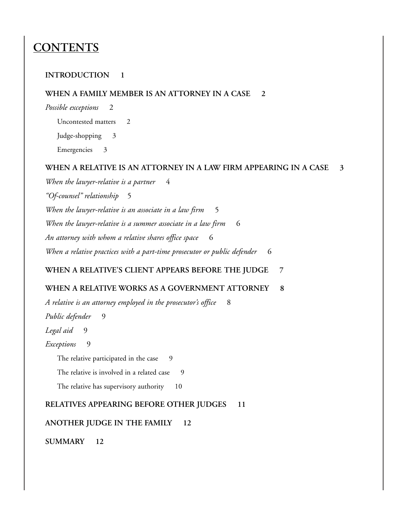## **CONTENTS**

#### **INTRODUCTION 1**

#### **WHEN A FAMILY MEMBER IS AN ATTORNEY IN A CASE 2**

*Possible exceptions* 2

Uncontested matters 2

Judge-shopping 3

Emergencies 3

#### **WHEN A RELATIVE IS AN ATTORNEY IN A LAW FIRM APPEARING IN A CASE 3**

*When the lawyer-relative is a partner* 4 *"Of-counsel" relationship* 5 *When the lawyer-relative is an associate in a law firm* 5 When the lawyer-relative is a summer associate in a law firm 6 *An attorney with whom a relative shares office space* 6 When a relative practices with a part-time prosecutor or public defender 6

#### **WHEN A RELATIVE'S CLIENT APPEARS BEFORE THE JUDGE 7**

#### **WHEN A RELATIVE WORKS AS A GOVERNMENT ATTORNEY 8**

*A relative is an attorney employed in the prosecutor's office* 8 *Public defender* 9 *Legal aid* 9 *Exceptions* 9 The relative participated in the case 9 The relative is involved in a related case 9 The relative has supervisory authority 10

**RELATIVES APPEARING BEFORE OTHER JUDGES 11**

**ANOTHER JUDGE IN THE FAMILY 12**

**SUMMARY 12**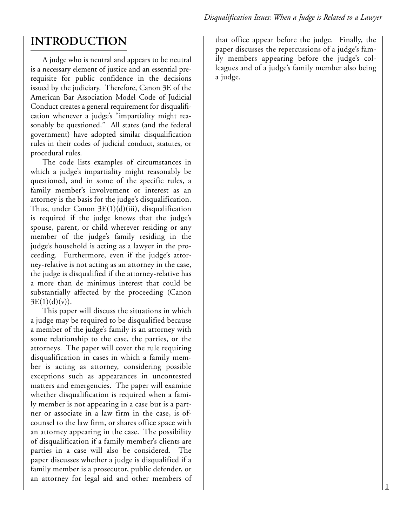## **INTRODUCTION**

A judge who is neutral and appears to be neutral is a necessary element of justice and an essential prerequisite for public confidence in the decisions issued by the judiciary. Therefore, Canon 3E of the American Bar Association Model Code of Judicial Conduct creates a general requirement for disqualification whenever a judge's "impartiality might reasonably be questioned." All states (and the federal government) have adopted similar disqualification rules in their codes of judicial conduct, statutes, or procedural rules.

The code lists examples of circumstances in which a judge's impartiality might reasonably be questioned, and in some of the specific rules, a family member's involvement or interest as an attorney is the basis for the judge's disqualification. Thus, under Canon  $3E(1)(d)(iii)$ , disqualification is required if the judge knows that the judge's spouse, parent, or child wherever residing or any member of the judge's family residing in the judge's household is acting as a lawyer in the proceeding. Furthermore, even if the judge's attorney-relative is not acting as an attorney in the case, the judge is disqualified if the attorney-relative has a more than de minimus interest that could be substantially affected by the proceeding (Canon  $3E(1)(d)(v)$ ).

This paper will discuss the situations in which a judge may be required to be disqualified because a member of the judge's family is an attorney with some relationship to the case, the parties, or the attorneys. The paper will cover the rule requiring disqualification in cases in which a family member is acting as attorney, considering possible exceptions such as appearances in uncontested matters and emergencies. The paper will examine whether disqualification is required when a family member is not appearing in a case but is a partner or associate in a law firm in the case, is ofcounsel to the law firm, or shares office space with an attorney appearing in the case. The possibility of disqualification if a family member's clients are parties in a case will also be considered. The paper discusses whether a judge is disqualified if a family member is a prosecutor, public defender, or an attorney for legal aid and other members of

that office appear before the judge. Finally, the paper discusses the repercussions of a judge's family members appearing before the judge's colleagues and of a judge's family member also being a judge.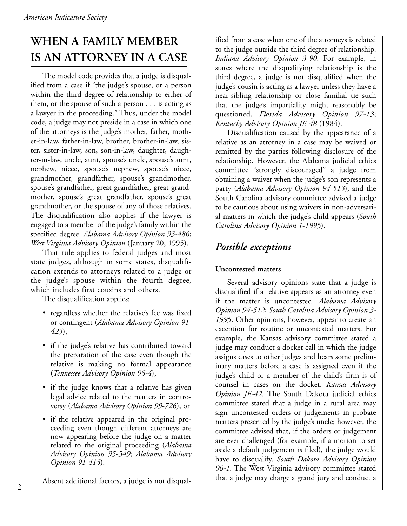# **WHEN A FAMILY MEMBER IS AN ATTORNEY IN A CASE**

The model code provides that a judge is disqualified from a case if "the judge's spouse, or a person within the third degree of relationship to either of them, or the spouse of such a person . . . is acting as a lawyer in the proceeding." Thus, under the model code, a judge may not preside in a case in which one of the attorneys is the judge's mother, father, mother-in-law, father-in-law, brother, brother-in-law, sister, sister-in-law, son, son-in-law, daughter, daughter-in-law, uncle, aunt, spouse's uncle, spouse's aunt, nephew, niece, spouse's nephew, spouse's niece, grandmother, grandfather, spouse's grandmother, spouse's grandfather, great grandfather, great grandmother, spouse's great grandfather, spouse's great grandmother, or the spouse of any of those relatives. The disqualification also applies if the lawyer is engaged to a member of the judge's family within the specified degree. *Alabama Advisory Opinion 93-486*; *West Virginia Advisory Opinion* (January 20, 1995).

That rule applies to federal judges and most state judges, although in some states, disqualification extends to attorneys related to a judge or the judge's spouse within the fourth degree, which includes first cousins and others.

The disqualification applies:

- regardless whether the relative's fee was fixed or contingent (*Alabama Advisory Opinion 91- 423*),
- if the judge's relative has contributed toward the preparation of the case even though the relative is making no formal appearance (*Tennessee Advisory Opinion 95-4*),
- if the judge knows that a relative has given legal advice related to the matters in controversy (*Alabama Advisory Opinion 99-726*), or
- if the relative appeared in the original proceeding even though different attorneys are now appearing before the judge on a matter related to the original proceeding (*Alabama Advisory Opinion 95-549; Alabama Advisory Opinion 91-415*).

Absent additional factors, a judge is not disqual-

ified from a case when one of the attorneys is related to the judge outside the third degree of relationship. *Indiana Advisory Opinion 3-90*. For example, in states where the disqualifying relationship is the third degree, a judge is not disqualified when the judge's cousin is acting as a lawyer unless they have a near-sibling relationship or close familial tie such that the judge's impartiality might reasonably be questioned. *Florida Advisory Opinion 97-13*; *Kentucky Advisory Opinion JE-48* (1984).

Disqualification caused by the appearance of a relative as an attorney in a case may be waived or remitted by the parties following disclosure of the relationship. However, the Alabama judicial ethics committee "strongly discouraged" a judge from obtaining a waiver when the judge's son represents a party (*Alabama Advisory Opinion 94-513*), and the South Carolina advisory committee advised a judge to be cautious about using waivers in non-adversarial matters in which the judge's child appears (*South Carolina Advisory Opinion 1-1995*).

## *Possible exceptions*

### **Uncontested matters**

Several advisory opinions state that a judge is disqualified if a relative appears as an attorney even if the matter is uncontested. *Alabama Advisory Opinion 94-512*; *South Carolina Advisory Opinion 3- 1995*. Other opinions, however, appear to create an exception for routine or uncontested matters. For example, the Kansas advisory committee stated a judge may conduct a docket call in which the judge assigns cases to other judges and hears some preliminary matters before a case is assigned even if the judge's child or a member of the child's firm is of counsel in cases on the docket. *Kansas Advisory Opinion JE-42*. The South Dakota judicial ethics committee stated that a judge in a rural area may sign uncontested orders or judgements in probate matters presented by the judge's uncle; however, the committee advised that, if the orders or judgement are ever challenged (for example, if a motion to set aside a default judgement is filed), the judge would have to disqualify. *South Dakota Advisory Opinion 90-1*. The West Virginia advisory committee stated that a judge may charge a grand jury and conduct a

**2**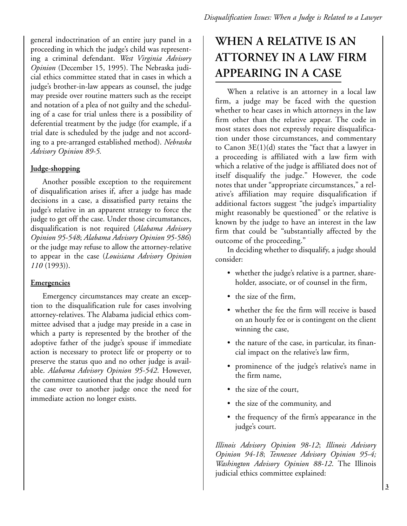general indoctrination of an entire jury panel in a proceeding in which the judge's child was representing a criminal defendant. *West Virginia Advisory Opinion* (December 15, 1995). The Nebraska judicial ethics committee stated that in cases in which a judge's brother-in-law appears as counsel, the judge may preside over routine matters such as the receipt and notation of a plea of not guilty and the scheduling of a case for trial unless there is a possibility of deferential treatment by the judge (for example, if a trial date is scheduled by the judge and not according to a pre-arranged established method). *Nebraska Advisory Opinion 89-5.* 

#### **Judge-shopping**

Another possible exception to the requirement of disqualification arises if, after a judge has made decisions in a case, a dissatisfied party retains the judge's relative in an apparent strategy to force the judge to get off the case. Under those circumstances, disqualification is not required (*Alabama Advisory Opinion 95-548*; *Alabama Advisory Opinion 95-586*) or the judge may refuse to allow the attorney-relative to appear in the case (*Louisiana Advisory Opinion 110* (1993)).

#### **Emergencies**

Emergency circumstances may create an exception to the disqualification rule for cases involving attorney-relatives. The Alabama judicial ethics committee advised that a judge may preside in a case in which a party is represented by the brother of the adoptive father of the judge's spouse if immediate action is necessary to protect life or property or to preserve the status quo and no other judge is available. *Alabama Advisory Opinion 95-542*. However, the committee cautioned that the judge should turn the case over to another judge once the need for immediate action no longer exists.

# **WHEN A RELATIVE IS AN ATTORNEY IN A LAW FIRM APPEARING IN A CASE**

When a relative is an attorney in a local law firm, a judge may be faced with the question whether to hear cases in which attorneys in the law firm other than the relative appear. The code in most states does not expressly require disqualification under those circumstances, and commentary to Canon  $3E(1)(d)$  states the "fact that a lawyer in a proceeding is affiliated with a law firm with which a relative of the judge is affiliated does not of itself disqualify the judge." However, the code notes that under "appropriate circumstances," a relative's affiliation may require disqualification if additional factors suggest "the judge's impartiality might reasonably be questioned" or the relative is known by the judge to have an interest in the law firm that could be "substantially affected by the outcome of the proceeding."

In deciding whether to disqualify, a judge should consider:

- whether the judge's relative is a partner, shareholder, associate, or of counsel in the firm,
- the size of the firm,
- whether the fee the firm will receive is based on an hourly fee or is contingent on the client winning the case,
- the nature of the case, in particular, its financial impact on the relative's law firm,
- prominence of the judge's relative's name in the firm name,
- the size of the court,
- the size of the community, and
- the frequency of the firm's appearance in the judge's court.

*Illinois Advisory Opinion 98-12*; *Illinois Advisory Opinion 94-18*; *Tennessee Advisory Opinion 95-4; Washington Advisory Opinion 88-12*. The Illinois judicial ethics committee explained: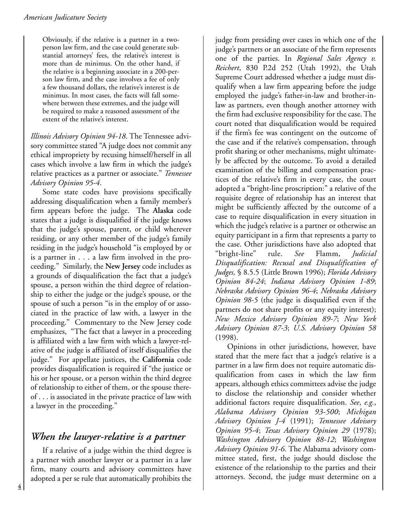Obviously, if the relative is a partner in a twoperson law firm, and the case could generate substantial attorneys' fees, the relative's interest is more than de minimus. On the other hand, if the relative is a beginning associate in a 200-person law firm, and the case involves a fee of only a few thousand dollars, the relative's interest is de minimus. In most cases, the facts will fall somewhere between these extremes, and the judge will be required to make a reasoned assessment of the extent of the relative's interest.

*Illinois Advisory Opinion 94-18*. The Tennessee advisory committee stated "A judge does not commit any ethical impropriety by recusing himself/herself in all cases which involve a law firm in which the judge's relative practices as a partner or associate." *Tennessee Advisory Opinion 95-4*.

Some state codes have provisions specifically addressing disqualification when a family member's firm appears before the judge. The **Alaska** code states that a judge is disqualified if the judge knows that the judge's spouse, parent, or child wherever residing, or any other member of the judge's family residing in the judge's household "is employed by or is a partner in . . . a law firm involved in the proceeding." Similarly, the **New Jersey** code includes as a grounds of disqualification the fact that a judge's spouse, a person within the third degree of relationship to either the judge or the judge's spouse, or the spouse of such a person "is in the employ of or associated in the practice of law with, a lawyer in the proceeding." Commentary to the New Jersey code emphasizes, "The fact that a lawyer in a proceeding is affiliated with a law firm with which a lawyer-relative of the judge is affiliated of itself disqualifies the judge." For appellate justices, the **California** code provides disqualification is required if "the justice or his or her spouse, or a person within the third degree of relationship to either of them, or the spouse thereof . . . is associated in the private practice of law with a lawyer in the proceeding."

## *When the lawyer-relative is a partner*

If a relative of a judge within the third degree is a partner with another lawyer or a partner in a law firm, many courts and advisory committees have adopted a per se rule that automatically prohibits the

judge from presiding over cases in which one of the judge's partners or an associate of the firm represents one of the parties. In *Regional Sales Agency v. Reichert*, 830 P.2d 252 (Utah 1992), the Utah Supreme Court addressed whether a judge must disqualify when a law firm appearing before the judge employed the judge's father-in-law and brother-inlaw as partners, even though another attorney with the firm had exclusive responsibility for the case. The court noted that disqualification would be required if the firm's fee was contingent on the outcome of the case and if the relative's compensation, through profit sharing or other mechanisms, might ultimately be affected by the outcome. To avoid a detailed examination of the billing and compensation practices of the relative's firm in every case, the court adopted a "bright-line proscription:" a relative of the requisite degree of relationship has an interest that might be sufficiently affected by the outcome of a case to require disqualification in every situation in which the judge's relative is a partner or otherwise an equity participant in a firm that represents a party to the case. Other jurisdictions have also adopted that "bright-line" rule. *See* Flamm, *Judicial Disqualification: Recusal and Disqualification of Judges,* § 8.5.5 (Little Brown 1996); *Florida Advisory Opinion 84-24*; *Indiana Advisory Opinion 1-89*; *Nebraska Advisory Opinion 96-4*; *Nebraska Advisory Opinion 98-5* (the judge is disqualified even if the partners do not share profits or any equity interest); *New Mexico Advisory Opinion 89-7*; *New York Advisory Opinion 87-3*; *U.S. Advisory Opinion 58* (1998).

Opinions in other jurisdictions, however, have stated that the mere fact that a judge's relative is a partner in a law firm does not require automatic disqualification from cases in which the law firm appears, although ethics committees advise the judge to disclose the relationship and consider whether additional factors require disqualification. *See*, *e.g.*, *Alabama Advisory Opinion 93-500*; *Michigan Advisory Opinion J-4* (1991); *Tennessee Advisory Opinion 95-4*; *Texas Advisory Opinion 29* (1978); *Washington Advisory Opinion 88-12*; *Washington Advisory Opinion 91-6*. The Alabama advisory committee stated, first, the judge should disclose the existence of the relationship to the parties and their attorneys. Second, the judge must determine on a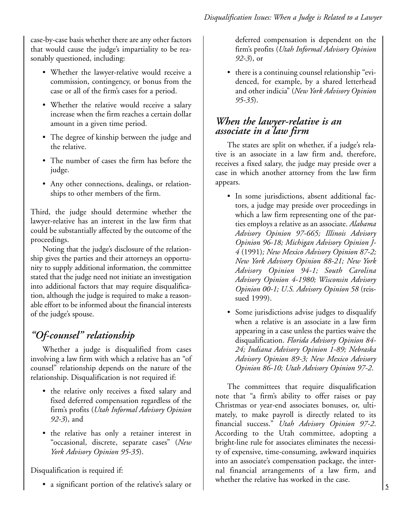case-by-case basis whether there are any other factors that would cause the judge's impartiality to be reasonably questioned, including:

- Whether the lawyer-relative would receive a commission, contingency, or bonus from the case or all of the firm's cases for a period.
- Whether the relative would receive a salary increase when the firm reaches a certain dollar amount in a given time period.
- The degree of kinship between the judge and the relative.
- The number of cases the firm has before the judge.
- Any other connections, dealings, or relationships to other members of the firm.

Third, the judge should determine whether the lawyer-relative has an interest in the law firm that could be substantially affected by the outcome of the proceedings.

Noting that the judge's disclosure of the relationship gives the parties and their attorneys an opportunity to supply additional information, the committee stated that the judge need not initiate an investigation into additional factors that may require disqualification, although the judge is required to make a reasonable effort to be informed about the financial interests of the judge's spouse.

## *"Of-counsel" relationship*

Whether a judge is disqualified from cases involving a law firm with which a relative has an "of counsel" relationship depends on the nature of the relationship. Disqualification is not required if:

- the relative only receives a fixed salary and fixed deferred compensation regardless of the firm's profits (*Utah Informal Advisory Opinion 92-3*), and
- the relative has only a retainer interest in "occasional, discrete, separate cases" (*New York Advisory Opinion 95-35*).

Disqualification is required if:

• a significant portion of the relative's salary or

deferred compensation is dependent on the firm's profits (*Utah Informal Advisory Opinion 92-3*), or

• there is a continuing counsel relationship "evidenced, for example, by a shared letterhead and other indicia" (*New York Advisory Opinion 95-35*).

## *When the lawyer-relative is an associate in a law firm*

The states are split on whether, if a judge's relative is an associate in a law firm and, therefore, receives a fixed salary, the judge may preside over a case in which another attorney from the law firm appears.

- In some jurisdictions, absent additional factors, a judge may preside over proceedings in which a law firm representing one of the parties employs a relative as an associate. *Alabama Advisory Opinion 97-665; Illinois Advisory Opinion 96-18; Michigan Advisory Opinion J-4* (1991)*; New Mexico Advisory Opinion 87-2; New York Advisory Opinion 88-21; New York Advisory Opinion 94-1; South Carolina Advisory Opinion 4-1980; Wisconsin Advisory Opinion 00-1; U.S. Advisory Opinion 58* (reissued 1999).
- Some jurisdictions advise judges to disqualify when a relative is an associate in a law firm appearing in a case unless the parties waive the disqualification. *Florida Advisory Opinion 84- 24; Indiana Advisory Opinion 1-89; Nebraska Advisory Opinion 89-3; New Mexico Advisory Opinion 86-10; Utah Advisory Opinion 97-2*.

The committees that require disqualification note that "a firm's ability to offer raises or pay Christmas or year-end associates bonuses, or, ultimately, to make payroll is directly related to its financial success." *Utah Advisory Opinion 97-2*. According to the Utah committee, adopting a bright-line rule for associates eliminates the necessity of expensive, time-consuming, awkward inquiries into an associate's compensation package, the internal financial arrangements of a law firm, and whether the relative has worked in the case.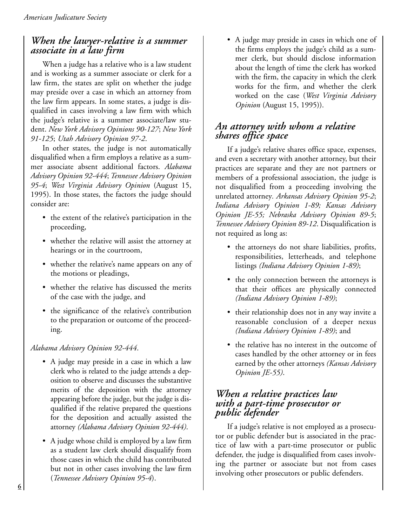### *When the lawyer-relative is a summer associate in a law firm*

When a judge has a relative who is a law student and is working as a summer associate or clerk for a law firm, the states are split on whether the judge may preside over a case in which an attorney from the law firm appears. In some states, a judge is disqualified in cases involving a law firm with which the judge's relative is a summer associate/law student. *New York Advisory Opinions 90-127*; *New York 91-125*; *Utah Advisory Opinion 97-2*.

In other states, the judge is not automatically disqualified when a firm employs a relative as a summer associate absent additional factors. *Alabama Advisory Opinion 92-444*; *Tennessee Advisory Opinion 95-4*; *West Virginia Advisory Opinion* (August 15, 1995). In those states, the factors the judge should consider are:

- the extent of the relative's participation in the proceeding,
- whether the relative will assist the attorney at hearings or in the courtroom,
- whether the relative's name appears on any of the motions or pleadings,
- whether the relative has discussed the merits of the case with the judge, and
- the significance of the relative's contribution to the preparation or outcome of the proceeding.

### *Alabama Advisory Opinion 92-444*.

- A judge may preside in a case in which a law clerk who is related to the judge attends a deposition to observe and discusses the substantive merits of the deposition with the attorney appearing before the judge, but the judge is disqualified if the relative prepared the questions for the deposition and actually assisted the attorney *(Alabama Advisory Opinion 92-444)*.
- A judge whose child is employed by a law firm as a student law clerk should disqualify from those cases in which the child has contributed but not in other cases involving the law firm (*Tennessee Advisory Opinion 95-4*).

• A judge may preside in cases in which one of the firms employs the judge's child as a summer clerk, but should disclose information about the length of time the clerk has worked with the firm, the capacity in which the clerk works for the firm, and whether the clerk worked on the case (*West Virginia Advisory Opinion* (August 15, 1995)).

### *An attorney with whom a relative shares office space*

If a judge's relative shares office space, expenses, and even a secretary with another attorney, but their practices are separate and they are not partners or members of a professional association, the judge is not disqualified from a proceeding involving the unrelated attorney*. Arkansas Advisory Opinion 95-2*; *Indiana Advisory Opinion 1-89; Kansas Advisory Opinion JE-55; Nebraska Advisory Opinion 89-5*; *Tennessee Advisory Opinion 89-12*. Disqualification is not required as long as:

- the attorneys do not share liabilities, profits, responsibilities, letterheads, and telephone listings *(Indiana Advisory Opinion 1-89)*;
- the only connection between the attorneys is that their offices are physically connected *(Indiana Advisory Opinion 1-89)*;
- their relationship does not in any way invite a reasonable conclusion of a deeper nexus *(Indiana Advisory Opinion 1-89)*; and
- the relative has no interest in the outcome of cases handled by the other attorney or in fees earned by the other attorneys *(Kansas Advisory Opinion JE-55)*.

### *When a relative practices law with a part-time prosecutor or public defender*

If a judge's relative is not employed as a prosecutor or public defender but is associated in the practice of law with a part-time prosecutor or public defender, the judge is disqualified from cases involving the partner or associate but not from cases involving other prosecutors or public defenders.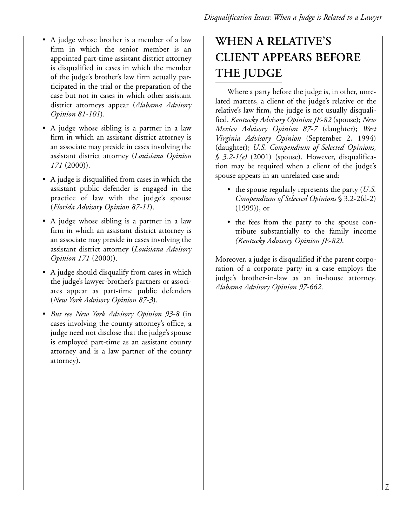- A judge whose brother is a member of a law firm in which the senior member is an appointed part-time assistant district attorney is disqualified in cases in which the member of the judge's brother's law firm actually participated in the trial or the preparation of the case but not in cases in which other assistant district attorneys appear (*Alabama Advisory Opinion 81-101*).
- A judge whose sibling is a partner in a law firm in which an assistant district attorney is an associate may preside in cases involving the assistant district attorney (*Louisiana Opinion 171* (2000)).
- A judge is disqualified from cases in which the assistant public defender is engaged in the practice of law with the judge's spouse (*Florida Advisory Opinion 87-11*).
- A judge whose sibling is a partner in a law firm in which an assistant district attorney is an associate may preside in cases involving the assistant district attorney (*Louisiana Advisory Opinion 171* (2000)).
- A judge should disqualify from cases in which the judge's lawyer-brother's partners or associates appear as part-time public defenders (*New York Advisory Opinion 87-3*).
- *But see New York Advisory Opinion 93-8* (in cases involving the county attorney's office, a judge need not disclose that the judge's spouse is employed part-time as an assistant county attorney and is a law partner of the county attorney).

# **WHEN A RELATIVE'S CLIENT APPEARS BEFORE THE JUDGE**

Where a party before the judge is, in other, unrelated matters, a client of the judge's relative or the relative's law firm, the judge is not usually disqualified. *Kentucky Advisory Opinion JE-82* (spouse); *New Mexico Advisory Opinion 87-7* (daughter); *West Virginia Advisory Opinion* (September 2, 1994) (daughter); *U.S. Compendium of Selected Opinions, § 3.2-1(e)* (2001) (spouse). However, disqualification may be required when a client of the judge's spouse appears in an unrelated case and:

- the spouse regularly represents the party (*U.S. Compendium of Selected Opinions* § 3.2-2(d-2) (1999)), or
- the fees from the party to the spouse contribute substantially to the family income *(Kentucky Advisory Opinion JE-82)*.

Moreover, a judge is disqualified if the parent corporation of a corporate party in a case employs the judge's brother-in-law as an in-house attorney. *Alabama Advisory Opinion 97-662*.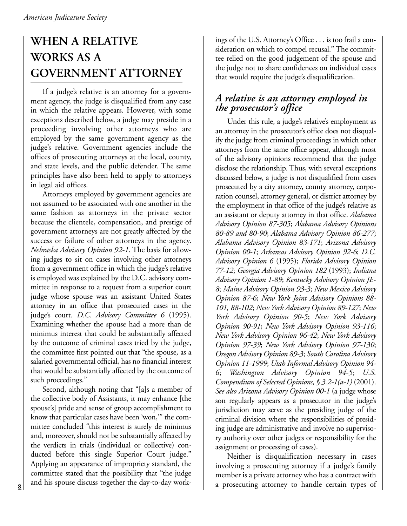# **WHEN A RELATIVE WORKS AS A GOVERNMENT ATTORNEY**

If a judge's relative is an attorney for a government agency, the judge is disqualified from any case in which the relative appears. However, with some exceptions described below, a judge may preside in a proceeding involving other attorneys who are employed by the same government agency as the judge's relative. Government agencies include the offices of prosecuting attorneys at the local, county, and state levels, and the public defender. The same principles have also been held to apply to attorneys in legal aid offices.

Attorneys employed by government agencies are not assumed to be associated with one another in the same fashion as attorneys in the private sector because the clientele, compensation, and prestige of government attorneys are not greatly affected by the success or failure of other attorneys in the agency. *Nebraska Advisory Opinion 92-1*. The basis for allowing judges to sit on cases involving other attorneys from a government office in which the judge's relative is employed was explained by the D.C. advisory committee in response to a request from a superior court judge whose spouse was an assistant United States attorney in an office that prosecuted cases in the judge's court. *D.C. Advisory Committee 6* (1995). Examining whether the spouse had a more than de minimus interest that could be substantially affected by the outcome of criminal cases tried by the judge, the committee first pointed out that "the spouse, as a salaried governmental official, has no financial interest that would be substantially affected by the outcome of such proceedings."

Second, although noting that "[a]s a member of the collective body of Assistants, it may enhance [the spouse's] pride and sense of group accomplishment to know that particular cases have been 'won,'" the committee concluded "this interest is surely de minimus and, moreover, should not be substantially affected by the verdicts in trials (individual or collective) conducted before this single Superior Court judge." Applying an appearance of impropriety standard, the committee stated that the possibility that "the judge and his spouse discuss together the day-to-day workings of the U.S. Attorney's Office . . . is too frail a consideration on which to compel recusal." The committee relied on the good judgement of the spouse and the judge not to share confidences on individual cases that would require the judge's disqualification.

### *A relative is an attorney employed in the prosecutor's office*

Under this rule, a judge's relative's employment as an attorney in the prosecutor's office does not disqualify the judge from criminal proceedings in which other attorneys from the same office appear, although most of the advisory opinions recommend that the judge disclose the relationship. Thus, with several exceptions discussed below, a judge is not disqualified from cases prosecuted by a city attorney, county attorney, corporation counsel, attorney general, or district attorney by the employment in that office of the judge's relative as an assistant or deputy attorney in that office. *Alabama Advisory Opinion 87-305*; *Alabama Advisory Opinions 80-89 and 80-90*; *Alabama Advisory Opinion 86-277*; *Alabama Advisory Opinion 83-171*; *Arizona Advisory Opinion 00-1*; *Arkansas Advisory Opinion 92-6*; *D.C. Advisory Opinion 6* (1995); *Florida Advisory Opinion 77-12*; *Georgia Advisory Opinion 182* (1993); *Indiana Advisory Opinion 1-89*; *Kentucky Advisory Opinion JE-8*; *Maine Advisory Opinion 93-3*; *New Mexico Advisory Opinion 87-6*; *New York Joint Advisory Opinions 88- 101, 88-102*; *New York Advisory Opinion 89-127*; *New York Advisory Opinion 90-5*; *New York Advisory Opinion 90-91*; *New York Advisory Opinion 93-116*; *New York Advisory Opinion 96-42*; *New York Advisory Opinion 97-39*; *New York Advisory Opinion 97-130*; *Oregon Advisory Opinion 89-3*; *South Carolina Advisory Opinion 11-1999*; *Utah Informal Advisory Opinion 94- 6*; *Washington Advisory Opinion 94-5*; *U.S. Compendium of Selected Opinions, § 3.2-1(a-1)* (2001). *See also Arizona Advisory Opinion 00-1* (a judge whose son regularly appears as a prosecutor in the judge's jurisdiction may serve as the presiding judge of the criminal division where the responsibilities of presiding judge are administrative and involve no supervisory authority over other judges or responsibility for the assignment or processing of cases).

Neither is disqualification necessary in cases involving a prosecuting attorney if a judge's family member is a private attorney who has a contract with 8 and his spouse discuss together the day-to-day work-<br>a prosecuting attorney to handle certain types of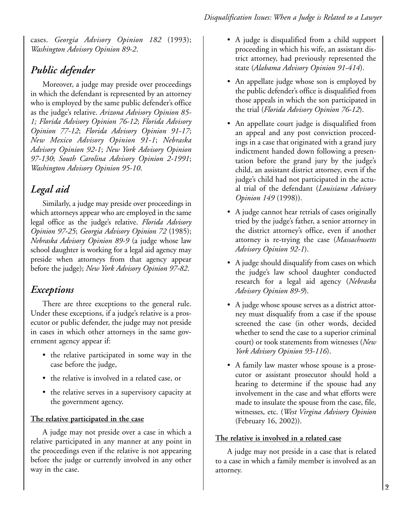cases. *Georgia Advisory Opinion 182* (1993); *Washington Advisory Opinion 89-2*.

## *Public defender*

Moreover, a judge may preside over proceedings in which the defendant is represented by an attorney who is employed by the same public defender's office as the judge's relative. *Arizona Advisory Opinion 85- 1; Florida Advisory Opinion 76-12*; *Florida Advisory Opinion 77-12*; *Florida Advisory Opinion 91-17*; *New Mexico Advisory Opinion 91-1*; *Nebraska Advisory Opinion 92-1*; *New York Advisory Opinion 97-130*; *South Carolina Advisory Opinion 2-1991*; *Washington Advisory Opinion 95-10*.

## *Legal aid*

Similarly, a judge may preside over proceedings in which attorneys appear who are employed in the same legal office as the judge's relative. *Florida Advisory Opinion 97-25*; *Georgia Advisory Opinion 72* (1985); *Nebraska Advisory Opinion 89-9* (a judge whose law school daughter is working for a legal aid agency may preside when attorneys from that agency appear before the judge); *New York Advisory Opinion 97-82*.

## *Exceptions*

There are three exceptions to the general rule. Under these exceptions, if a judge's relative is a prosecutor or public defender, the judge may not preside in cases in which other attorneys in the same government agency appear if:

- the relative participated in some way in the case before the judge,
- the relative is involved in a related case, or
- the relative serves in a supervisory capacity at the government agency.

#### **The relative participated in the case**

A judge may not preside over a case in which a relative participated in any manner at any point in the proceedings even if the relative is not appearing before the judge or currently involved in any other way in the case.

- A judge is disqualified from a child support proceeding in which his wife, an assistant district attorney, had previously represented the state (*Alabama Advisory Opinion 91-414*).
- An appellate judge whose son is employed by the public defender's office is disqualified from those appeals in which the son participated in the trial (*Florida Advisory Opinion 76-12*).
- An appellate court judge is disqualified from an appeal and any post conviction proceedings in a case that originated with a grand jury indictment handed down following a presentation before the grand jury by the judge's child, an assistant district attorney, even if the judge's child had not participated in the actual trial of the defendant (*Louisiana Advisory Opinion 149* (1998)).
- A judge cannot hear retrials of cases originally tried by the judge's father, a senior attorney in the district attorney's office, even if another attorney is re-trying the case (*Massachusetts Advisory Opinion 92-1*).
- A judge should disqualify from cases on which the judge's law school daughter conducted research for a legal aid agency (*Nebraska Advisory Opinion 89-9*).
- A judge whose spouse serves as a district attorney must disqualify from a case if the spouse screened the case (in other words, decided whether to send the case to a superior criminal court) or took statements from witnesses (*New York Advisory Opinion 93-116*).
- A family law master whose spouse is a prosecutor or assistant prosecutor should hold a hearing to determine if the spouse had any involvement in the case and what efforts were made to insulate the spouse from the case, file, witnesses, etc. (*West Virgina Advisory Opinion* (February 16, 2002)).

### **The relative is involved in a related case**

A judge may not preside in a case that is related to a case in which a family member is involved as an attorney.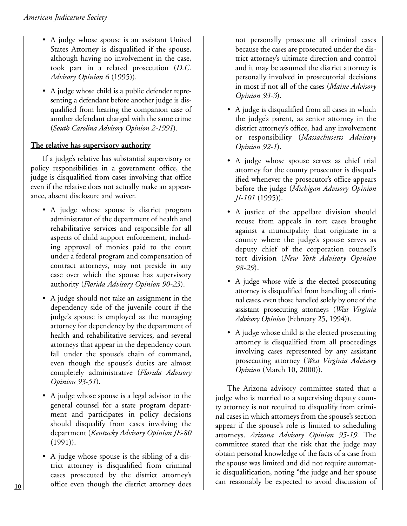- A judge whose spouse is an assistant United States Attorney is disqualified if the spouse, although having no involvement in the case, took part in a related prosecution (*D.C. Advisory Opinion 6* (1995)).
- A judge whose child is a public defender representing a defendant before another judge is disqualified from hearing the companion case of another defendant charged with the same crime (*South Carolina Advisory Opinion 2-1991*).

### **The relative has supervisory authority**

If a judge's relative has substantial supervisory or policy responsibilities in a government office, the judge is disqualified from cases involving that office even if the relative does not actually make an appearance, absent disclosure and waiver.

- A judge whose spouse is district program administrator of the department of health and rehabilitative services and responsible for all aspects of child support enforcement, including approval of monies paid to the court under a federal program and compensation of contract attorneys, may not preside in any case over which the spouse has supervisory authority (*Florida Advisory Opinion 90-23*).
- A judge should not take an assignment in the dependency side of the juvenile court if the judge's spouse is employed as the managing attorney for dependency by the department of health and rehabilitative services, and several attorneys that appear in the dependency court fall under the spouse's chain of command, even though the spouse's duties are almost completely administrative (*Florida Advisory Opinion 93-51*).
- A judge whose spouse is a legal advisor to the general counsel for a state program department and participates in policy decisions should disqualify from cases involving the department (*Kentucky Advisory Opinion JE-80* (1991)).
- A judge whose spouse is the sibling of a district attorney is disqualified from criminal cases prosecuted by the district attorney's office even though the district attorney does 10 office even though the district attorney does an reasonably be expected to avoid discussion of

not personally prosecute all criminal cases because the cases are prosecuted under the district attorney's ultimate direction and control and it may be assumed the district attorney is personally involved in prosecutorial decisions in most if not all of the cases (*Maine Advisory Opinion 93-3*).

- A judge is disqualified from all cases in which the judge's parent, as senior attorney in the district attorney's office, had any involvement or responsibility (*Massachusetts Advisory Opinion 92-1*).
- A judge whose spouse serves as chief trial attorney for the county prosecutor is disqualified whenever the prosecutor's office appears before the judge (*Michigan Advisory Opinion JI-101* (1995)).
- A justice of the appellate division should recuse from appeals in tort cases brought against a municipality that originate in a county where the judge's spouse serves as deputy chief of the corporation counsel's tort division (*New York Advisory Opinion 98-29*).
- A judge whose wife is the elected prosecuting attorney is disqualified from handling all criminal cases, even those handled solely by one of the assistant prosecuting attorneys (*West Virginia Advisory Opinion* (February 25, 1994)).
- A judge whose child is the elected prosecuting attorney is disqualified from all proceedings involving cases represented by any assistant prosecuting attorney (*West Virginia Advisory Opinion* (March 10, 2000)).

The Arizona advisory committee stated that a judge who is married to a supervising deputy county attorney is not required to disqualify from criminal cases in which attorneys from the spouse's section appear if the spouse's role is limited to scheduling attorneys. *Arizona Advisory Opinion 95-19*. The committee stated that the risk that the judge may obtain personal knowledge of the facts of a case from the spouse was limited and did not require automatic disqualification, noting "the judge and her spouse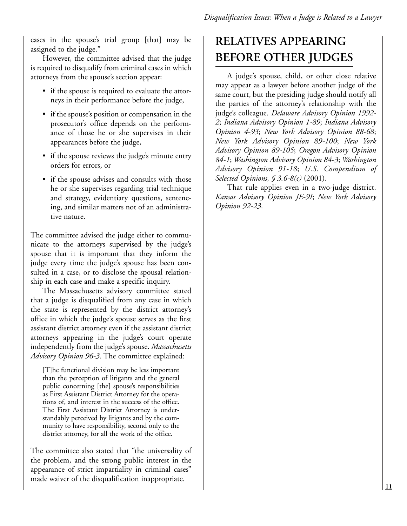cases in the spouse's trial group [that] may be assigned to the judge."

However, the committee advised that the judge is required to disqualify from criminal cases in which attorneys from the spouse's section appear:

- if the spouse is required to evaluate the attorneys in their performance before the judge,
- if the spouse's position or compensation in the prosecutor's office depends on the performance of those he or she supervises in their appearances before the judge,
- if the spouse reviews the judge's minute entry orders for errors, or
- if the spouse advises and consults with those he or she supervises regarding trial technique and strategy, evidentiary questions, sentencing, and similar matters not of an administrative nature.

The committee advised the judge either to communicate to the attorneys supervised by the judge's spouse that it is important that they inform the judge every time the judge's spouse has been consulted in a case, or to disclose the spousal relationship in each case and make a specific inquiry.

The Massachusetts advisory committee stated that a judge is disqualified from any case in which the state is represented by the district attorney's office in which the judge's spouse serves as the first assistant district attorney even if the assistant district attorneys appearing in the judge's court operate independently from the judge's spouse. *Massachusetts Advisory Opinion 96-3*. The committee explained:

[T]he functional division may be less important than the perception of litigants and the general public concerning [the] spouse's responsibilities as First Assistant District Attorney for the operations of, and interest in the success of the office. The First Assistant District Attorney is understandably perceived by litigants and by the community to have responsibility, second only to the district attorney, for all the work of the office.

The committee also stated that "the universality of the problem, and the strong public interest in the appearance of strict impartiality in criminal cases" made waiver of the disqualification inappropriate.

# **RELATIVES APPEARING BEFORE OTHER JUDGES**

A judge's spouse, child, or other close relative may appear as a lawyer before another judge of the same court, but the presiding judge should notify all the parties of the attorney's relationship with the judge's colleague. *Delaware Advisory Opinion 1992- 2*; *Indiana Advisory Opinion 1-89*; *Indiana Advisory Opinion 4-93*; *New York Advisory Opinion 88-68*; *New York Advisory Opinion 89-100*; *New York Advisory Opinion 89-105*; *Oregon Advisory Opinion 84-1*; *Washington Advisory Opinion 84-3*; *Washington Advisory Opinion 91-18*; *U.S. Compendium of Selected Opinions, § 3.6-8(c)* (2001).

That rule applies even in a two-judge district. *Kansas Advisory Opinion JE-9I*; *New York Advisory Opinion 92-23*.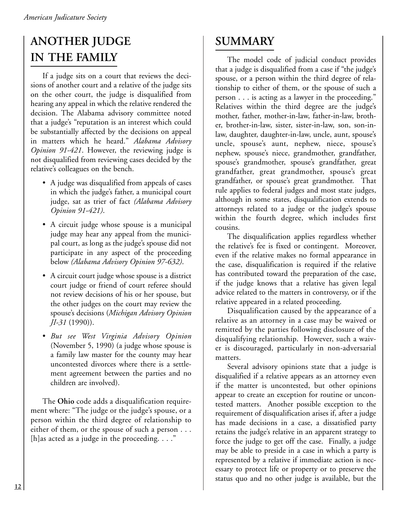# **ANOTHER JUDGE IN THE FAMILY**

If a judge sits on a court that reviews the decisions of another court and a relative of the judge sits on the other court, the judge is disqualified from hearing any appeal in which the relative rendered the decision. The Alabama advisory committee noted that a judge's "reputation is an interest which could be substantially affected by the decisions on appeal in matters which he heard." *Alabama Advisory Opinion 91-421*. However, the reviewing judge is not disqualified from reviewing cases decided by the relative's colleagues on the bench.

- A judge was disqualified from appeals of cases in which the judge's father, a municipal court judge, sat as trier of fact *(Alabama Advisory Opinion 91-421)*.
- A circuit judge whose spouse is a municipal judge may hear any appeal from the municipal court, as long as the judge's spouse did not participate in any aspect of the proceeding below *(Alabama Advisory Opinion 97-632)*.
- A circuit court judge whose spouse is a district court judge or friend of court referee should not review decisions of his or her spouse, but the other judges on the court may review the spouse's decisions (*Michigan Advisory Opinion JI-31* (1990)).
- *But see West Virginia Advisory Opinion* (November 5, 1990) (a judge whose spouse is a family law master for the county may hear uncontested divorces where there is a settlement agreement between the parties and no children are involved).

The **Ohio** code adds a disqualification requirement where: "The judge or the judge's spouse, or a person within the third degree of relationship to either of them, or the spouse of such a person . . . [h]as acted as a judge in the proceeding.  $\dots$ "

# **SUMMARY**

The model code of judicial conduct provides that a judge is disqualified from a case if "the judge's spouse, or a person within the third degree of relationship to either of them, or the spouse of such a person . . . is acting as a lawyer in the proceeding." Relatives within the third degree are the judge's mother, father, mother-in-law, father-in-law, brother, brother-in-law, sister, sister-in-law, son, son-inlaw, daughter, daughter-in-law, uncle, aunt, spouse's uncle, spouse's aunt, nephew, niece, spouse's nephew, spouse's niece, grandmother, grandfather, spouse's grandmother, spouse's grandfather, great grandfather, great grandmother, spouse's great grandfather, or spouse's great grandmother. That rule applies to federal judges and most state judges, although in some states, disqualification extends to attorneys related to a judge or the judge's spouse within the fourth degree, which includes first cousins.

The disqualification applies regardless whether the relative's fee is fixed or contingent. Moreover, even if the relative makes no formal appearance in the case, disqualification is required if the relative has contributed toward the preparation of the case, if the judge knows that a relative has given legal advice related to the matters in controversy, or if the relative appeared in a related proceeding.

Disqualification caused by the appearance of a relative as an attorney in a case may be waived or remitted by the parties following disclosure of the disqualifying relationship. However, such a waiver is discouraged, particularly in non-adversarial matters.

Several advisory opinions state that a judge is disqualified if a relative appears as an attorney even if the matter is uncontested, but other opinions appear to create an exception for routine or uncontested matters. Another possible exception to the requirement of disqualification arises if, after a judge has made decisions in a case, a dissatisfied party retains the judge's relative in an apparent strategy to force the judge to get off the case. Finally, a judge may be able to preside in a case in which a party is represented by a relative if immediate action is necessary to protect life or property or to preserve the status quo and no other judge is available, but the